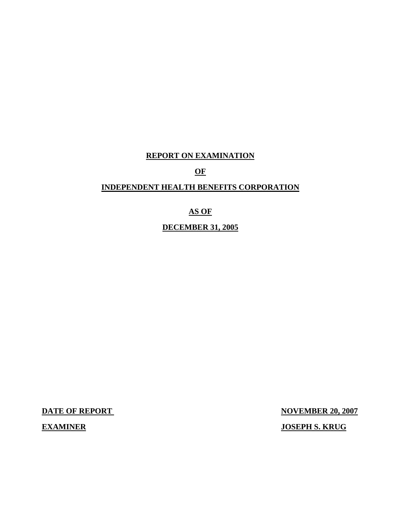## **REPORT ON EXAMINATION**

**OF**

## **INDEPENDENT HEALTH BENEFITS CORPORATION**

## **AS OF**

**DECEMBER 31, 2005**

**DATE OF REPORT NOVEMBER 20, 2007 EXAMINER JOSEPH S. KRUG**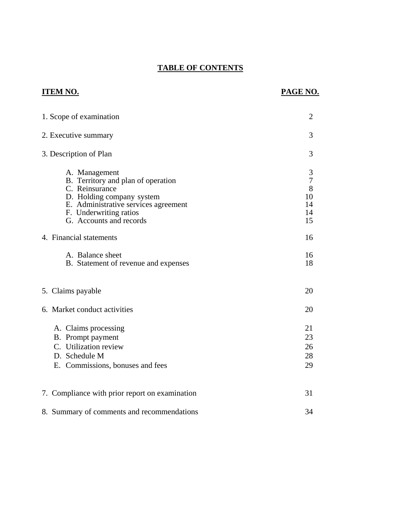## **TABLE OF CONTENTS**

## **ITEM NO. PAGE NO.**

| 1. Scope of examination                                                                                                                                                                         | $\overline{2}$                                   |
|-------------------------------------------------------------------------------------------------------------------------------------------------------------------------------------------------|--------------------------------------------------|
| 2. Executive summary                                                                                                                                                                            | 3                                                |
| 3. Description of Plan                                                                                                                                                                          | 3                                                |
| A. Management<br>B. Territory and plan of operation<br>C. Reinsurance<br>D. Holding company system<br>E. Administrative services agreement<br>F. Underwriting ratios<br>G. Accounts and records | 3<br>$\overline{7}$<br>8<br>10<br>14<br>14<br>15 |
| 4. Financial statements                                                                                                                                                                         | 16                                               |
| A. Balance sheet<br>B. Statement of revenue and expenses                                                                                                                                        | 16<br>18                                         |
| 5. Claims payable                                                                                                                                                                               | 20                                               |
| 6. Market conduct activities                                                                                                                                                                    | 20                                               |
| A. Claims processing<br>B. Prompt payment<br>C. Utilization review<br>D. Schedule M<br>E. Commissions, bonuses and fees                                                                         | 21<br>23<br>26<br>28<br>29                       |
| 7. Compliance with prior report on examination                                                                                                                                                  | 31                                               |
| 8. Summary of comments and recommendations                                                                                                                                                      | 34                                               |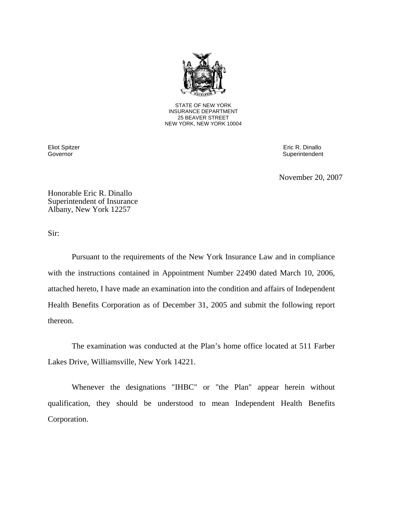

STATE OF NEW YORK INSURANCE DEPARTMENT 25 BEAVER STREET NEW YORK, NEW YORK 10004

Eliot Spitzer Eric R. Dinallo Governor Superintendent Superintendent Superintendent Superintendent Superintendent Superintendent Superintendent

November 20, 2007

Honorable Eric R. Dinallo Superintendent of Insurance Albany, New York 12257

Sir:

 Pursuant to the requirements of the New York Insurance Law and in compliance with the instructions contained in Appointment Number 22490 dated March 10, 2006, attached hereto, I have made an examination into the condition and affairs of Independent Health Benefits Corporation as of December 31, 2005 and submit the following report thereon.

The examination was conducted at the Plan's home office located at 511 Farber Lakes Drive, Williamsville, New York 14221.

Whenever the designations "IHBC" or "the Plan" appear herein without qualification, they should be understood to mean Independent Health Benefits Corporation.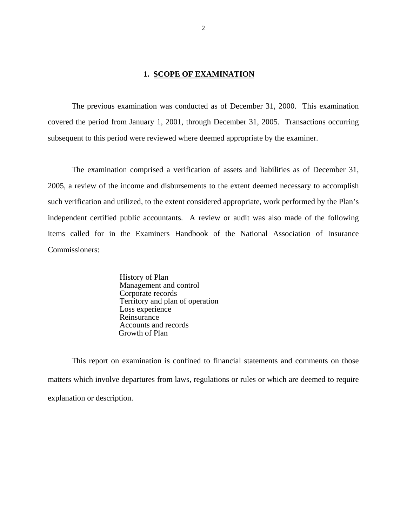#### **1. SCOPE OF EXAMINATION**

 The previous examination was conducted as of December 31, 2000. This examination covered the period from January 1, 2001, through December 31, 2005. Transactions occurring subsequent to this period were reviewed where deemed appropriate by the examiner.

 The examination comprised a verification of assets and liabilities as of December 31, 2005, a review of the income and disbursements to the extent deemed necessary to accomplish such verification and utilized, to the extent considered appropriate, work performed by the Plan's independent certified public accountants. A review or audit was also made of the following items called for in the Examiners Handbook of the National Association of Insurance Commissioners:

> History of Plan Management and control Corporate records Territory and plan of operation Loss experience Reinsurance Accounts and records Growth of Plan

 This report on examination is confined to financial statements and comments on those matters which involve departures from laws, regulations or rules or which are deemed to require explanation or description.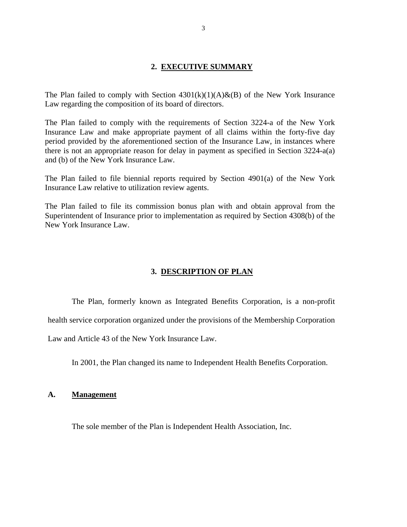#### **2. EXECUTIVE SUMMARY**

The Plan failed to comply with Section  $4301(k)(1)(A) & (B)$  of the New York Insurance Law regarding the composition of its board of directors.

The Plan failed to comply with the requirements of Section 3224-a of the New York Insurance Law and make appropriate payment of all claims within the forty-five day period provided by the aforementioned section of the Insurance Law, in instances where there is not an appropriate reason for delay in payment as specified in Section 3224-a(a) and (b) of the New York Insurance Law.

The Plan failed to file biennial reports required by Section 4901(a) of the New York Insurance Law relative to utilization review agents.

The Plan failed to file its commission bonus plan with and obtain approval from the Superintendent of Insurance prior to implementation as required by Section 4308(b) of the New York Insurance Law.

#### **3. DESCRIPTION OF PLAN**

The Plan, formerly known as Integrated Benefits Corporation, is a non-profit

health service corporation organized under the provisions of the Membership Corporation

Law and Article 43 of the New York Insurance Law.

In 2001, the Plan changed its name to Independent Health Benefits Corporation.

#### **A. Management**

The sole member of the Plan is Independent Health Association, Inc.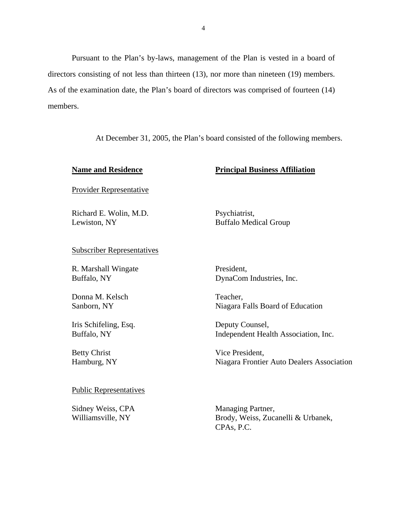Pursuant to the Plan's by-laws, management of the Plan is vested in a board of directors consisting of not less than thirteen (13), nor more than nineteen (19) members. As of the examination date, the Plan's board of directors was comprised of fourteen (14) members.

At December 31, 2005, the Plan's board consisted of the following members.

#### **Name and Residence Principal Business Affiliation**

Provider Representative

Richard E. Wolin, M.D. Psychiatrist, Lewiston, NY Buffalo Medical Group

Subscriber Representatives

R. Marshall Wingate President,

Donna M. Kelsch Teacher,

Iris Schifeling, Esq. Deputy Counsel,

Buffalo, NY DynaCom Industries, Inc.

Sanborn, NY Niagara Falls Board of Education

Buffalo, NY Independent Health Association, Inc.

Betty Christ Vice President, Hamburg, NY Niagara Frontier Auto Dealers Association

#### Public Representatives

Sidney Weiss, CPA Managing Partner,

Williamsville, NY Brody, Weiss, Zucanelli & Urbanek, CPAs, P.C.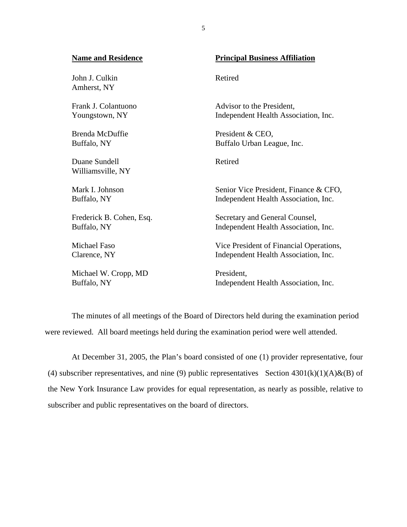# **Name and Residence Principal Business Affiliation** John J. Culkin Retired Amherst, NY Frank J. Colantuono Advisor to the President, Youngstown, NY Independent Health Association, Inc. Brenda McDuffie President & CEO, Buffalo, NY Buffalo Urban League, Inc. Duane Sundell Retired Williamsville, NY Mark I. Johnson Senior Vice President, Finance & CFO, Buffalo, NY Independent Health Association, Inc. Frederick B. Cohen, Esq. Secretary and General Counsel, Buffalo, NY Independent Health Association, Inc. Michael Faso Vice President of Financial Operations, Clarence, NY Independent Health Association, Inc. Michael W. Cropp, MD President, Buffalo, NY Independent Health Association, Inc.

The minutes of all meetings of the Board of Directors held during the examination period were reviewed. All board meetings held during the examination period were well attended.

 At December 31, 2005, the Plan's board consisted of one (1) provider representative, four (4) subscriber representatives, and nine (9) public representatives Section  $4301(k)(1)(A) \& (B)$  of the New York Insurance Law provides for equal representation, as nearly as possible, relative to subscriber and public representatives on the board of directors.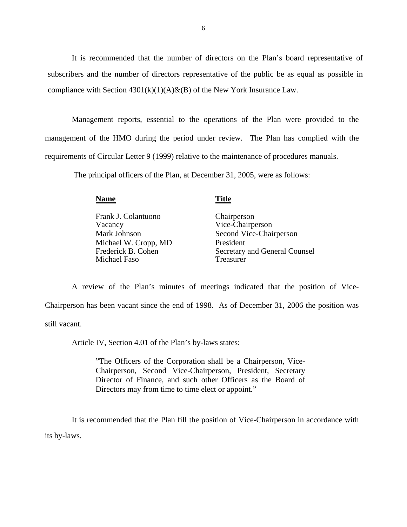It is recommended that the number of directors on the Plan's board representative of subscribers and the number of directors representative of the public be as equal as possible in compliance with Section  $4301(k)(1)(A) & (B)$  of the New York Insurance Law.

 Management reports, essential to the operations of the Plan were provided to the management of the HMO during the period under review. The Plan has complied with the requirements of Circular Letter 9 (1999) relative to the maintenance of procedures manuals.

The principal officers of the Plan, at December 31, 2005, were as follows:

**Name** Title

 Frank J. Colantuono Chairperson Vacancy Vice-Chairperson Michael W. Cropp, MD<br>Frederick B. Cohen<br>Secretary Michael Faso

Mark Johnson Second Vice-Chairperson Secretary and General Counsel<br>Treasurer

 A review of the Plan's minutes of meetings indicated that the position of Vice-Chairperson has been vacant since the end of 1998. As of December 31, 2006 the position was still vacant.

Article IV, Section 4.01 of the Plan's by-laws states:

"The Officers of the Corporation shall be a Chairperson, Vice-Chairperson, Second Vice-Chairperson, President, Secretary Director of Finance, and such other Officers as the Board of Directors may from time to time elect or appoint."

It is recommended that the Plan fill the position of Vice-Chairperson in accordance with its by-laws.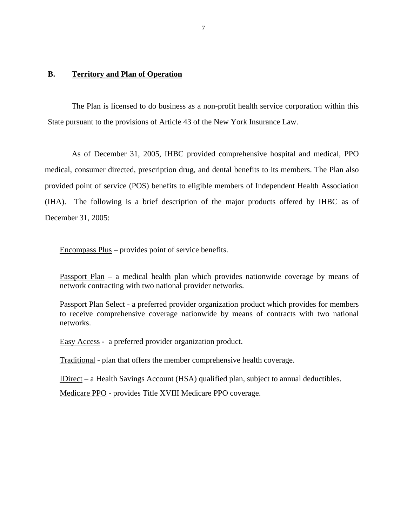#### **B. Territory and Plan of Operation**

The Plan is licensed to do business as a non-profit health service corporation within this State pursuant to the provisions of Article 43 of the New York Insurance Law.

As of December 31, 2005, IHBC provided comprehensive hospital and medical, PPO medical, consumer directed, prescription drug, and dental benefits to its members. The Plan also provided point of service (POS) benefits to eligible members of Independent Health Association (IHA). The following is a brief description of the major products offered by IHBC as of December 31, 2005:

Encompass Plus – provides point of service benefits.

Passport Plan – a medical health plan which provides nationwide coverage by means of network contracting with two national provider networks.

Passport Plan Select - a preferred provider organization product which provides for members to receive comprehensive coverage nationwide by means of contracts with two national networks.

Easy Access - a preferred provider organization product.

Traditional - plan that offers the member comprehensive health coverage.

IDirect – a Health Savings Account (HSA) qualified plan, subject to annual deductibles.

Medicare PPO - provides Title XVIII Medicare PPO coverage.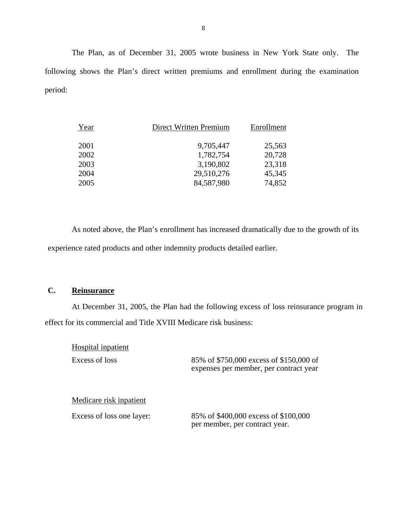The Plan, as of December 31, 2005 wrote business in New York State only. The following shows the Plan's direct written premiums and enrollment during the examination period:

| Year | Direct Written Premium | Enrollment |
|------|------------------------|------------|
| 2001 | 9,705,447              | 25,563     |
| 2002 | 1,782,754              | 20,728     |
| 2003 | 3,190,802              | 23,318     |
| 2004 | 29,510,276             | 45,345     |
| 2005 | 84,587,980             | 74,852     |

 As noted above, the Plan's enrollment has increased dramatically due to the growth of its experience rated products and other indemnity products detailed earlier.

## **C. Reinsurance**

At December 31, 2005, the Plan had the following excess of loss reinsurance program in effect for its commercial and Title XVIII Medicare risk business:

Hospital inpatient

Excess of loss 85% of \$750,000 excess of \$150,000 of expenses per member, per contract year

#### Medicare risk inpatient

 Excess of loss one layer: 85% of \$400,000 excess of \$100,000 per member, per contract year.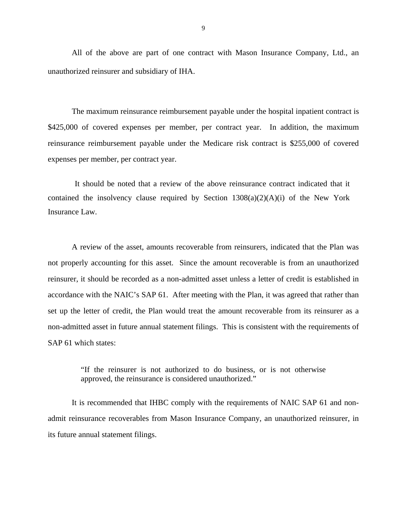All of the above are part of one contract with Mason Insurance Company, Ltd., an unauthorized reinsurer and subsidiary of IHA.

 The maximum reinsurance reimbursement payable under the hospital inpatient contract is \$425,000 of covered expenses per member, per contract year. In addition, the maximum reinsurance reimbursement payable under the Medicare risk contract is \$255,000 of covered expenses per member, per contract year.

It should be noted that a review of the above reinsurance contract indicated that it contained the insolvency clause required by Section  $1308(a)(2)(A)(i)$  of the New York Insurance Law.

A review of the asset, amounts recoverable from reinsurers, indicated that the Plan was not properly accounting for this asset. Since the amount recoverable is from an unauthorized reinsurer, it should be recorded as a non-admitted asset unless a letter of credit is established in accordance with the NAIC's SAP 61. After meeting with the Plan, it was agreed that rather than set up the letter of credit, the Plan would treat the amount recoverable from its reinsurer as a non-admitted asset in future annual statement filings. This is consistent with the requirements of SAP 61 which states:

> "If the reinsurer is not authorized to do business, or is not otherwise approved, the reinsurance is considered unauthorized."

It is recommended that IHBC comply with the requirements of NAIC SAP 61 and nonadmit reinsurance recoverables from Mason Insurance Company, an unauthorized reinsurer, in its future annual statement filings.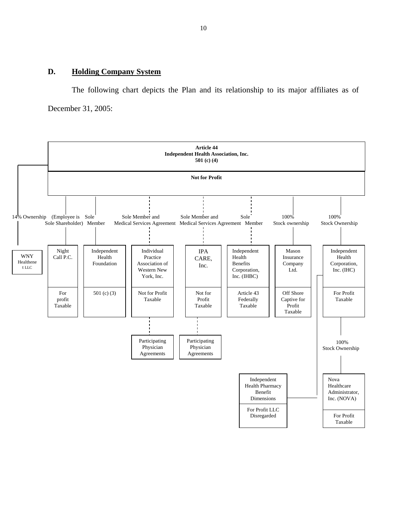#### **D. Holding Company System**

 The following chart depicts the Plan and its relationship to its major affiliates as of December 31, 2005:

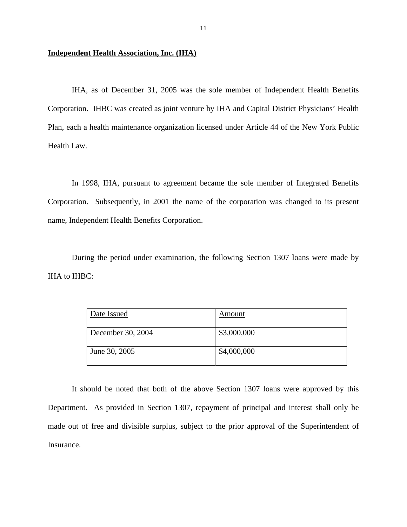#### **Independent Health Association, Inc. (IHA)**

IHA, as of December 31, 2005 was the sole member of Independent Health Benefits Corporation. IHBC was created as joint venture by IHA and Capital District Physicians' Health Plan, each a health maintenance organization licensed under Article 44 of the New York Public Health Law.

In 1998, IHA, pursuant to agreement became the sole member of Integrated Benefits Corporation. Subsequently, in 2001 the name of the corporation was changed to its present name, Independent Health Benefits Corporation.

During the period under examination, the following Section 1307 loans were made by IHA to IHBC:

| Date Issued       | Amount      |
|-------------------|-------------|
| December 30, 2004 | \$3,000,000 |
| June 30, 2005     | \$4,000,000 |

It should be noted that both of the above Section 1307 loans were approved by this Department. As provided in Section 1307, repayment of principal and interest shall only be made out of free and divisible surplus, subject to the prior approval of the Superintendent of Insurance.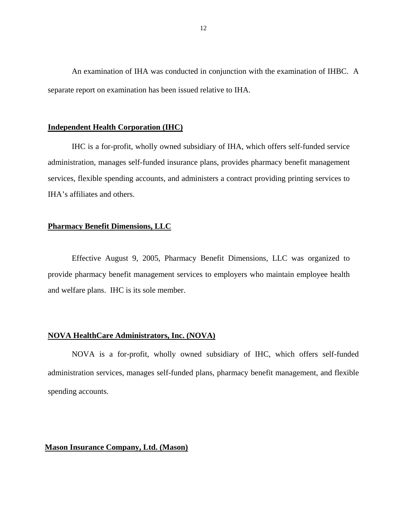An examination of IHA was conducted in conjunction with the examination of IHBC. A separate report on examination has been issued relative to IHA.

#### **Independent Health Corporation (IHC)**

IHC is a for-profit, wholly owned subsidiary of IHA, which offers self-funded service administration, manages self-funded insurance plans, provides pharmacy benefit management services, flexible spending accounts, and administers a contract providing printing services to IHA's affiliates and others.

#### **Pharmacy Benefit Dimensions, LLC**

Effective August 9, 2005, Pharmacy Benefit Dimensions, LLC was organized to provide pharmacy benefit management services to employers who maintain employee health and welfare plans. IHC is its sole member.

#### **NOVA HealthCare Administrators, Inc. (NOVA)**

NOVA is a for-profit, wholly owned subsidiary of IHC, which offers self-funded administration services, manages self-funded plans, pharmacy benefit management, and flexible spending accounts.

### **Mason Insurance Company, Ltd. (Mason)**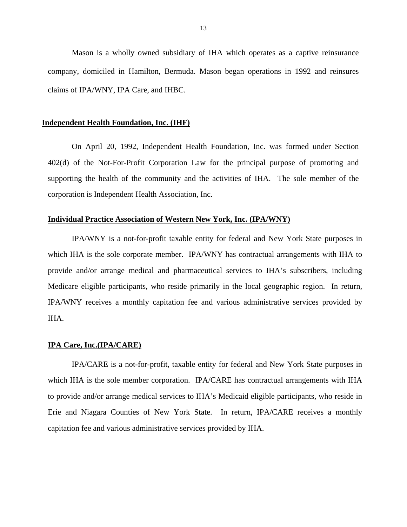Mason is a wholly owned subsidiary of IHA which operates as a captive reinsurance company, domiciled in Hamilton, Bermuda. Mason began operations in 1992 and reinsures claims of IPA/WNY, IPA Care, and IHBC.

#### **Independent Health Foundation, Inc. (IHF)**

On April 20, 1992, Independent Health Foundation, Inc. was formed under Section 402(d) of the Not-For-Profit Corporation Law for the principal purpose of promoting and supporting the health of the community and the activities of IHA. The sole member of the corporation is Independent Health Association, Inc.

#### **Individual Practice Association of Western New York, Inc. (IPA/WNY)**

 IPA/WNY is a not-for-profit taxable entity for federal and New York State purposes in which IHA is the sole corporate member. IPA/WNY has contractual arrangements with IHA to provide and/or arrange medical and pharmaceutical services to IHA's subscribers, including Medicare eligible participants, who reside primarily in the local geographic region. In return, IPA/WNY receives a monthly capitation fee and various administrative services provided by IHA.

#### **IPA Care, Inc.(IPA/CARE)**

IPA/CARE is a not-for-profit, taxable entity for federal and New York State purposes in which IHA is the sole member corporation. IPA/CARE has contractual arrangements with IHA to provide and/or arrange medical services to IHA's Medicaid eligible participants, who reside in Erie and Niagara Counties of New York State. In return, IPA/CARE receives a monthly capitation fee and various administrative services provided by IHA.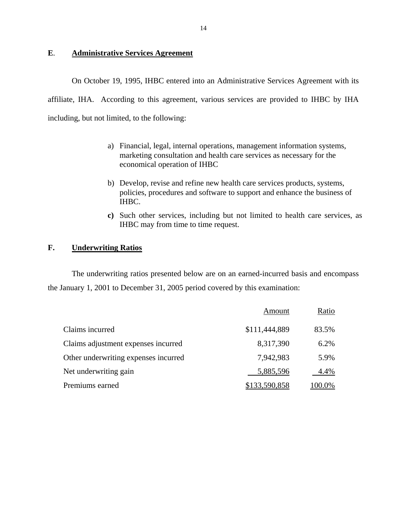## **E**. **Administrative Services Agreement**

 On October 19, 1995, IHBC entered into an Administrative Services Agreement with its affiliate, IHA. According to this agreement, various services are provided to IHBC by IHA including, but not limited, to the following:

- a) Financial, legal, internal operations, management information systems, marketing consultation and health care services as necessary for the economical operation of IHBC
- b) Develop, revise and refine new health care services products, systems, policies, procedures and software to support and enhance the business of IHBC.
- **c)** Such other services, including but not limited to health care services, as IHBC may from time to time request.

### **F. Underwriting Ratios**

 The underwriting ratios presented below are on an earned-incurred basis and encompass the January 1, 2001 to December 31, 2005 period covered by this examination:

|                                      | Amount        | Ratio  |
|--------------------------------------|---------------|--------|
| Claims incurred                      | \$111,444,889 | 83.5%  |
| Claims adjustment expenses incurred  | 8,317,390     | 6.2%   |
| Other underwriting expenses incurred | 7,942,983     | 5.9%   |
| Net underwriting gain                | 5,885,596     | 4.4%   |
| Premiums earned                      | \$133,590,858 | 100.0% |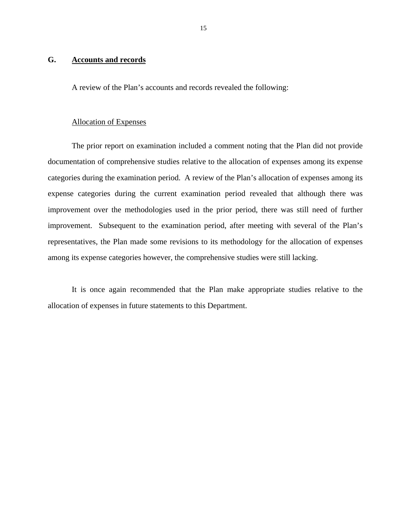#### **G. Accounts and records**

A review of the Plan's accounts and records revealed the following:

#### Allocation of Expenses

 The prior report on examination included a comment noting that the Plan did not provide documentation of comprehensive studies relative to the allocation of expenses among its expense categories during the examination period. A review of the Plan's allocation of expenses among its expense categories during the current examination period revealed that although there was improvement over the methodologies used in the prior period, there was still need of further improvement. Subsequent to the examination period, after meeting with several of the Plan's representatives, the Plan made some revisions to its methodology for the allocation of expenses among its expense categories however, the comprehensive studies were still lacking.

 It is once again recommended that the Plan make appropriate studies relative to the allocation of expenses in future statements to this Department.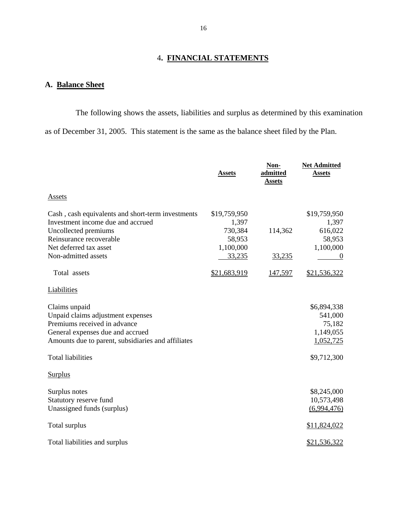## 4**. FINANCIAL STATEMENTS**

## **A. Balance Sheet**

 The following shows the assets, liabilities and surplus as determined by this examination as of December 31, 2005. This statement is the same as the balance sheet filed by the Plan.

|                                                                                                                                                                                                          | <b>Assets</b>                                                     | Non-<br>admitted<br><b>Assets</b> | <b>Net Admitted</b><br><b>Assets</b>                                      |
|----------------------------------------------------------------------------------------------------------------------------------------------------------------------------------------------------------|-------------------------------------------------------------------|-----------------------------------|---------------------------------------------------------------------------|
| <b>Assets</b>                                                                                                                                                                                            |                                                                   |                                   |                                                                           |
| Cash, cash equivalents and short-term investments<br>Investment income due and accrued<br>Uncollected premiums<br>Reinsurance recoverable<br>Net deferred tax asset<br>Non-admitted assets               | \$19,759,950<br>1,397<br>730,384<br>58,953<br>1,100,000<br>33,235 | 114,362<br><u>33,235</u>          | \$19,759,950<br>1,397<br>616,022<br>58,953<br>1,100,000                   |
| Total assets                                                                                                                                                                                             | \$21,683,919                                                      | 147,597                           | \$21,536,322                                                              |
| Liabilities                                                                                                                                                                                              |                                                                   |                                   |                                                                           |
| Claims unpaid<br>Unpaid claims adjustment expenses<br>Premiums received in advance<br>General expenses due and accrued<br>Amounts due to parent, subsidiaries and affiliates<br><b>Total liabilities</b> |                                                                   |                                   | \$6,894,338<br>541,000<br>75,182<br>1,149,055<br>1,052,725<br>\$9,712,300 |
| <b>Surplus</b>                                                                                                                                                                                           |                                                                   |                                   |                                                                           |
| Surplus notes<br>Statutory reserve fund<br>Unassigned funds (surplus)                                                                                                                                    |                                                                   |                                   | \$8,245,000<br>10,573,498<br>(6,994,476)                                  |
| Total surplus                                                                                                                                                                                            |                                                                   |                                   | \$11,824,022                                                              |
| Total liabilities and surplus                                                                                                                                                                            |                                                                   |                                   | \$21,536,322                                                              |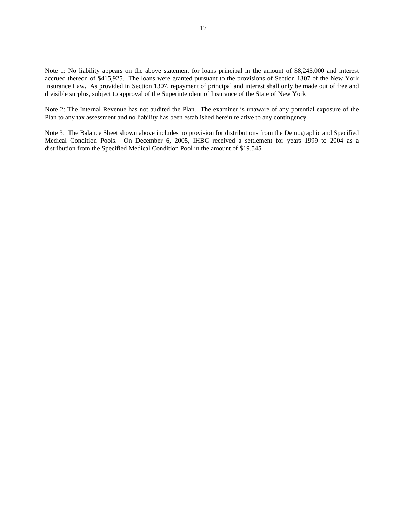Note 1: No liability appears on the above statement for loans principal in the amount of \$8,245,000 and interest accrued thereon of \$415,925. The loans were granted pursuant to the provisions of Section 1307 of the New York Insurance Law. As provided in Section 1307, repayment of principal and interest shall only be made out of free and divisible surplus, subject to approval of the Superintendent of Insurance of the State of New York

Note 2: The Internal Revenue has not audited the Plan. The examiner is unaware of any potential exposure of the Plan to any tax assessment and no liability has been established herein relative to any contingency.

Note 3: The Balance Sheet shown above includes no provision for distributions from the Demographic and Specified Medical Condition Pools. On December 6, 2005, IHBC received a settlement for years 1999 to 2004 as a distribution from the Specified Medical Condition Pool in the amount of \$19,545.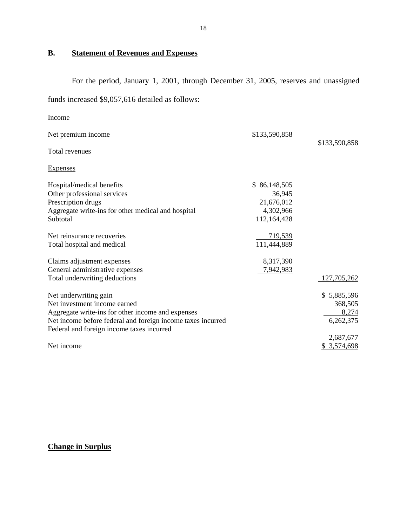## **B. Statement of Revenues and Expenses**

For the period, January 1, 2001, through December 31, 2005, reserves and unassigned

funds increased \$9,057,616 detailed as follows:

| Income                                                      |               |               |
|-------------------------------------------------------------|---------------|---------------|
| Net premium income                                          | \$133,590,858 | \$133,590,858 |
| Total revenues                                              |               |               |
| <b>Expenses</b>                                             |               |               |
| Hospital/medical benefits                                   | \$86,148,505  |               |
| Other professional services                                 | 36,945        |               |
| Prescription drugs                                          | 21,676,012    |               |
| Aggregate write-ins for other medical and hospital          | 4,302,966     |               |
| Subtotal                                                    | 112,164,428   |               |
| Net reinsurance recoveries                                  | 719,539       |               |
| Total hospital and medical                                  | 111,444,889   |               |
| Claims adjustment expenses                                  | 8,317,390     |               |
| General administrative expenses                             | 7,942,983     |               |
| Total underwriting deductions                               |               | 127,705,262   |
| Net underwriting gain                                       |               | \$5,885,596   |
| Net investment income earned                                |               | 368,505       |
| Aggregate write-ins for other income and expenses           |               | 8,274         |
| Net income before federal and foreign income taxes incurred |               | 6,262,375     |
| Federal and foreign income taxes incurred                   |               |               |
|                                                             |               | 2,687,677     |
| Net income                                                  |               | 3,574,698     |

## **Change in Surplus**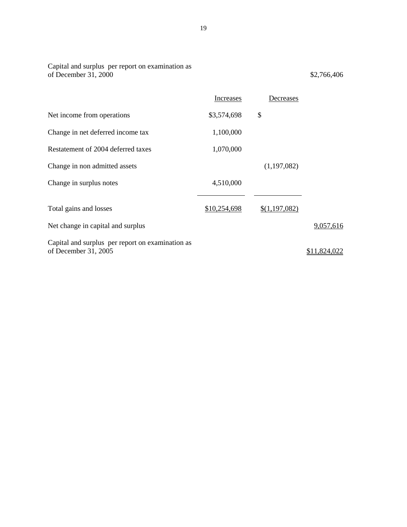| of December 31, 2000                                                     |                  |               | \$2,766,406  |
|--------------------------------------------------------------------------|------------------|---------------|--------------|
|                                                                          | <b>Increases</b> | Decreases     |              |
| Net income from operations                                               | \$3,574,698      | \$            |              |
| Change in net deferred income tax                                        | 1,100,000        |               |              |
| Restatement of 2004 deferred taxes                                       | 1,070,000        |               |              |
| Change in non admitted assets                                            |                  | (1,197,082)   |              |
| Change in surplus notes                                                  | 4,510,000        |               |              |
| Total gains and losses                                                   | \$10,254,698     | \$(1,197,082) |              |
| Net change in capital and surplus                                        |                  |               | 9,057,616    |
| Capital and surplus per report on examination as<br>of December 31, 2005 |                  |               | \$11,824,022 |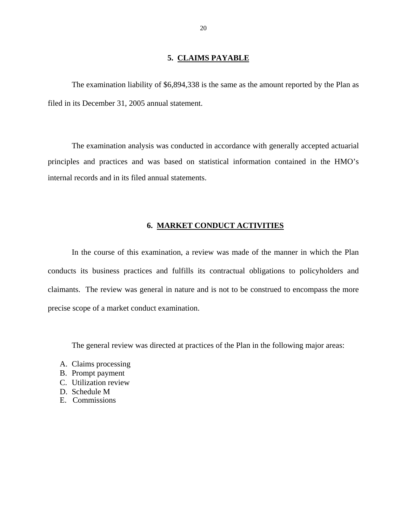#### **5. CLAIMS PAYABLE**

The examination liability of \$6,894,338 is the same as the amount reported by the Plan as filed in its December 31, 2005 annual statement.

The examination analysis was conducted in accordance with generally accepted actuarial principles and practices and was based on statistical information contained in the HMO's internal records and in its filed annual statements.

#### **6. MARKET CONDUCT ACTIVITIES**

In the course of this examination, a review was made of the manner in which the Plan conducts its business practices and fulfills its contractual obligations to policyholders and claimants. The review was general in nature and is not to be construed to encompass the more precise scope of a market conduct examination.

The general review was directed at practices of the Plan in the following major areas:

- A. Claims processing
- B. Prompt payment
- C. Utilization review
- D. Schedule M
- E. Commissions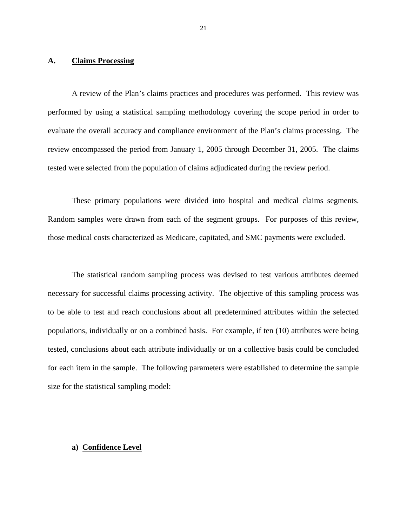#### **A. Claims Processing**

A review of the Plan's claims practices and procedures was performed. This review was performed by using a statistical sampling methodology covering the scope period in order to evaluate the overall accuracy and compliance environment of the Plan's claims processing. The review encompassed the period from January 1, 2005 through December 31, 2005. The claims tested were selected from the population of claims adjudicated during the review period.

These primary populations were divided into hospital and medical claims segments. Random samples were drawn from each of the segment groups. For purposes of this review, those medical costs characterized as Medicare, capitated, and SMC payments were excluded.

The statistical random sampling process was devised to test various attributes deemed necessary for successful claims processing activity. The objective of this sampling process was to be able to test and reach conclusions about all predetermined attributes within the selected populations, individually or on a combined basis. For example, if ten (10) attributes were being tested, conclusions about each attribute individually or on a collective basis could be concluded for each item in the sample. The following parameters were established to determine the sample size for the statistical sampling model:

### **a) Confidence Level**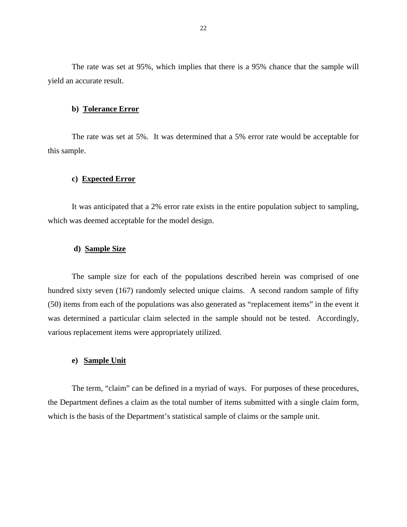The rate was set at 95%, which implies that there is a 95% chance that the sample will yield an accurate result.

#### **b) Tolerance Error**

The rate was set at 5%. It was determined that a 5% error rate would be acceptable for this sample.

#### **c) Expected Error**

It was anticipated that a 2% error rate exists in the entire population subject to sampling, which was deemed acceptable for the model design.

#### **d) Sample Size**

The sample size for each of the populations described herein was comprised of one hundred sixty seven (167) randomly selected unique claims. A second random sample of fifty (50) items from each of the populations was also generated as "replacement items" in the event it was determined a particular claim selected in the sample should not be tested. Accordingly, various replacement items were appropriately utilized.

#### **e) Sample Unit**

The term, "claim" can be defined in a myriad of ways. For purposes of these procedures, the Department defines a claim as the total number of items submitted with a single claim form, which is the basis of the Department's statistical sample of claims or the sample unit.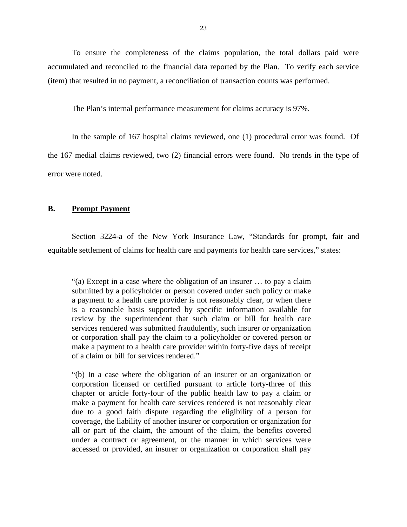To ensure the completeness of the claims population, the total dollars paid were accumulated and reconciled to the financial data reported by the Plan. To verify each service (item) that resulted in no payment, a reconciliation of transaction counts was performed.

The Plan's internal performance measurement for claims accuracy is 97%.

In the sample of 167 hospital claims reviewed, one (1) procedural error was found. Of the 167 medial claims reviewed, two (2) financial errors were found. No trends in the type of error were noted.

#### **B. Prompt Payment**

Section 3224-a of the New York Insurance Law, "Standards for prompt, fair and equitable settlement of claims for health care and payments for health care services," states:

"(a) Except in a case where the obligation of an insurer … to pay a claim submitted by a policyholder or person covered under such policy or make a payment to a health care provider is not reasonably clear, or when there is a reasonable basis supported by specific information available for review by the superintendent that such claim or bill for health care services rendered was submitted fraudulently, such insurer or organization or corporation shall pay the claim to a policyholder or covered person or make a payment to a health care provider within forty-five days of receipt of a claim or bill for services rendered."

"(b) In a case where the obligation of an insurer or an organization or corporation licensed or certified pursuant to article forty-three of this chapter or article forty-four of the public health law to pay a claim or make a payment for health care services rendered is not reasonably clear due to a good faith dispute regarding the eligibility of a person for coverage, the liability of another insurer or corporation or organization for all or part of the claim, the amount of the claim, the benefits covered under a contract or agreement, or the manner in which services were accessed or provided, an insurer or organization or corporation shall pay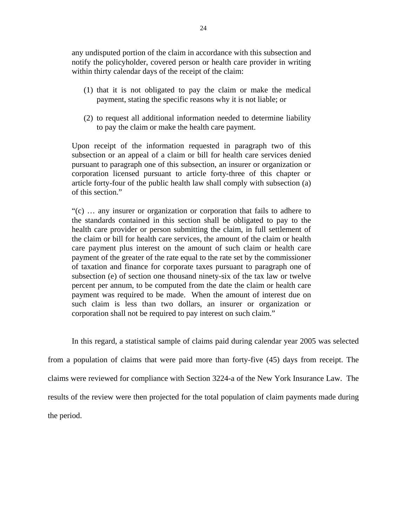any undisputed portion of the claim in accordance with this subsection and notify the policyholder, covered person or health care provider in writing within thirty calendar days of the receipt of the claim:

- (1) that it is not obligated to pay the claim or make the medical payment, stating the specific reasons why it is not liable; or
- (2) to request all additional information needed to determine liability to pay the claim or make the health care payment.

Upon receipt of the information requested in paragraph two of this subsection or an appeal of a claim or bill for health care services denied pursuant to paragraph one of this subsection, an insurer or organization or corporation licensed pursuant to article forty-three of this chapter or article forty-four of the public health law shall comply with subsection (a) of this section."

"(c) … any insurer or organization or corporation that fails to adhere to the standards contained in this section shall be obligated to pay to the health care provider or person submitting the claim, in full settlement of the claim or bill for health care services, the amount of the claim or health care payment plus interest on the amount of such claim or health care payment of the greater of the rate equal to the rate set by the commissioner of taxation and finance for corporate taxes pursuant to paragraph one of subsection (e) of section one thousand ninety-six of the tax law or twelve percent per annum, to be computed from the date the claim or health care payment was required to be made. When the amount of interest due on such claim is less than two dollars, an insurer or organization or corporation shall not be required to pay interest on such claim."

In this regard, a statistical sample of claims paid during calendar year 2005 was selected from a population of claims that were paid more than forty-five (45) days from receipt. The claims were reviewed for compliance with Section 3224-a of the New York Insurance Law. The results of the review were then projected for the total population of claim payments made during the period.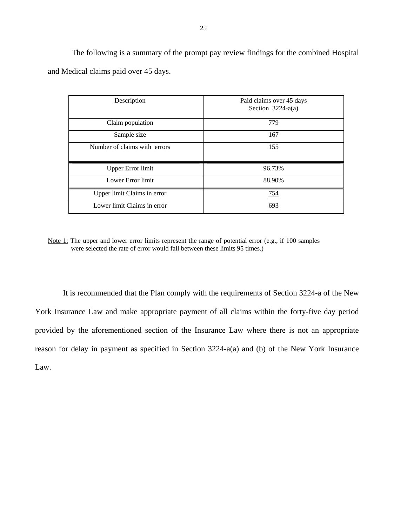The following is a summary of the prompt pay review findings for the combined Hospital and Medical claims paid over 45 days.

| Description                  | Paid claims over 45 days<br>Section $3224-a(a)$ |
|------------------------------|-------------------------------------------------|
| Claim population             | 779                                             |
| Sample size                  | 167                                             |
| Number of claims with errors | 155                                             |
| <b>Upper Error limit</b>     | 96.73%                                          |
| Lower Error limit            | 88.90%                                          |
| Upper limit Claims in error  | <u>754</u>                                      |
| Lower limit Claims in error  |                                                 |

Note 1: The upper and lower error limits represent the range of potential error (e.g., if 100 samples were selected the rate of error would fall between these limits 95 times.)

It is recommended that the Plan comply with the requirements of Section 3224-a of the New York Insurance Law and make appropriate payment of all claims within the forty-five day period provided by the aforementioned section of the Insurance Law where there is not an appropriate reason for delay in payment as specified in Section 3224-a(a) and (b) of the New York Insurance Law.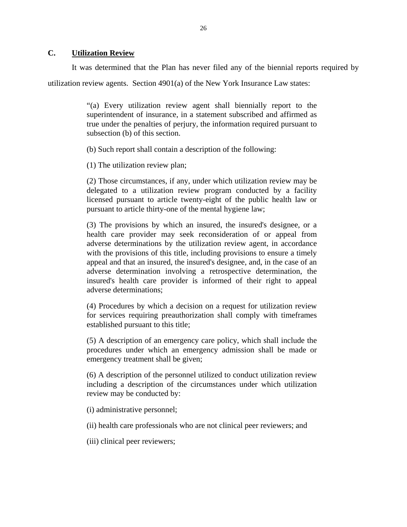#### **C. Utilization Review**

It was determined that the Plan has never filed any of the biennial reports required by

utilization review agents. Section  $4901(a)$  of the New York Insurance Law states:

"(a) Every utilization review agent shall biennially report to the superintendent of insurance, in a statement subscribed and affirmed as true under the penalties of perjury, the information required pursuant to subsection (b) of this section.

(b) Such report shall contain a description of the following:

(1) The utilization review plan;

(2) Those circumstances, if any, under which utilization review may be delegated to a utilization review program conducted by a facility licensed pursuant to article twenty-eight of the public health law or pursuant to article thirty-one of the mental hygiene law;

(3) The provisions by which an insured, the insured's designee, or a health care provider may seek reconsideration of or appeal from adverse determinations by the utilization review agent, in accordance with the provisions of this title, including provisions to ensure a timely appeal and that an insured, the insured's designee, and, in the case of an adverse determination involving a retrospective determination, the insured's health care provider is informed of their right to appeal adverse determinations;

(4) Procedures by which a decision on a request for utilization review for services requiring preauthorization shall comply with timeframes established pursuant to this title;

(5) A description of an emergency care policy, which shall include the procedures under which an emergency admission shall be made or emergency treatment shall be given;

(6) A description of the personnel utilized to conduct utilization review including a description of the circumstances under which utilization review may be conducted by:

(i) administrative personnel;

(ii) health care professionals who are not clinical peer reviewers; and

(iii) clinical peer reviewers;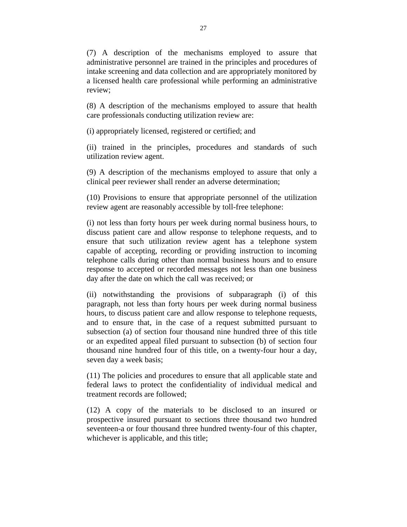(7) A description of the mechanisms employed to assure that administrative personnel are trained in the principles and procedures of intake screening and data collection and are appropriately monitored by a licensed health care professional while performing an administrative review;

(8) A description of the mechanisms employed to assure that health care professionals conducting utilization review are:

(i) appropriately licensed, registered or certified; and

(ii) trained in the principles, procedures and standards of such utilization review agent.

(9) A description of the mechanisms employed to assure that only a clinical peer reviewer shall render an adverse determination;

(10) Provisions to ensure that appropriate personnel of the utilization review agent are reasonably accessible by toll-free telephone:

(i) not less than forty hours per week during normal business hours, to discuss patient care and allow response to telephone requests, and to ensure that such utilization review agent has a telephone system capable of accepting, recording or providing instruction to incoming telephone calls during other than normal business hours and to ensure response to accepted or recorded messages not less than one business day after the date on which the call was received; or

(ii) notwithstanding the provisions of subparagraph (i) of this paragraph, not less than forty hours per week during normal business hours, to discuss patient care and allow response to telephone requests, and to ensure that, in the case of a request submitted pursuant to subsection (a) of section four thousand nine hundred three of this title or an expedited appeal filed pursuant to subsection (b) of section four thousand nine hundred four of this title, on a twenty-four hour a day, seven day a week basis;

(11) The policies and procedures to ensure that all applicable state and federal laws to protect the confidentiality of individual medical and treatment records are followed;

(12) A copy of the materials to be disclosed to an insured or prospective insured pursuant to sections three thousand two hundred seventeen-a or four thousand three hundred twenty-four of this chapter, whichever is applicable, and this title;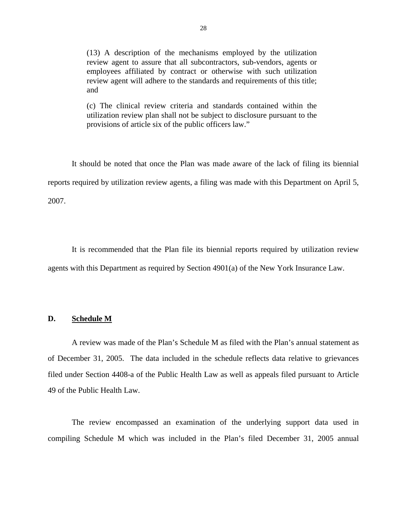(13) A description of the mechanisms employed by the utilization review agent to assure that all subcontractors, sub-vendors, agents or employees affiliated by contract or otherwise with such utilization review agent will adhere to the standards and requirements of this title; and

(c) The clinical review criteria and standards contained within the utilization review plan shall not be subject to disclosure pursuant to the provisions of article six of the public officers law."

It should be noted that once the Plan was made aware of the lack of filing its biennial reports required by utilization review agents, a filing was made with this Department on April 5, 2007.

It is recommended that the Plan file its biennial reports required by utilization review agents with this Department as required by Section 4901(a) of the New York Insurance Law.

### **D. Schedule M**

A review was made of the Plan's Schedule M as filed with the Plan's annual statement as of December 31, 2005. The data included in the schedule reflects data relative to grievances filed under Section 4408-a of the Public Health Law as well as appeals filed pursuant to Article 49 of the Public Health Law.

The review encompassed an examination of the underlying support data used in compiling Schedule M which was included in the Plan's filed December 31, 2005 annual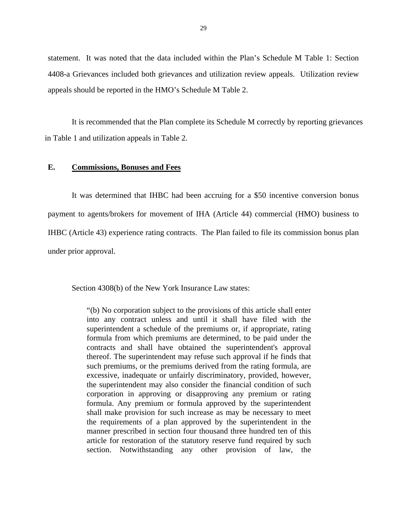statement. It was noted that the data included within the Plan's Schedule M Table 1: Section 4408-a Grievances included both grievances and utilization review appeals. Utilization review appeals should be reported in the HMO's Schedule M Table 2.

It is recommended that the Plan complete its Schedule M correctly by reporting grievances in Table 1 and utilization appeals in Table 2.

#### **E. Commissions, Bonuses and Fees**

 It was determined that IHBC had been accruing for a \$50 incentive conversion bonus payment to agents/brokers for movement of IHA (Article 44) commercial (HMO) business to IHBC (Article 43) experience rating contracts. The Plan failed to file its commission bonus plan under prior approval.

Section 4308(b) of the New York Insurance Law states:

"(b) No corporation subject to the provisions of this article shall enter into any contract unless and until it shall have filed with the superintendent a schedule of the premiums or, if appropriate, rating formula from which premiums are determined, to be paid under the contracts and shall have obtained the superintendent's approval thereof. The superintendent may refuse such approval if he finds that such premiums, or the premiums derived from the rating formula, are excessive, inadequate or unfairly discriminatory, provided, however, the superintendent may also consider the financial condition of such corporation in approving or disapproving any premium or rating formula. Any premium or formula approved by the superintendent shall make provision for such increase as may be necessary to meet the requirements of a plan approved by the superintendent in the manner prescribed in section four thousand three hundred ten of this article for restoration of the statutory reserve fund required by such section. Notwithstanding any other provision of law, the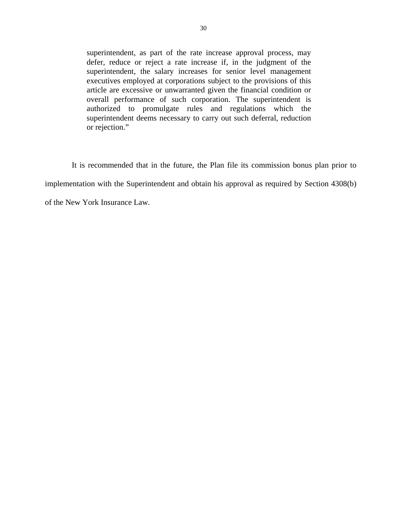superintendent, as part of the rate increase approval process, may defer, reduce or reject a rate increase if, in the judgment of the superintendent, the salary increases for senior level management executives employed at corporations subject to the provisions of this article are excessive or unwarranted given the financial condition or overall performance of such corporation. The superintendent is authorized to promulgate rules and regulations which the superintendent deems necessary to carry out such deferral, reduction or rejection."

 It is recommended that in the future, the Plan file its commission bonus plan prior to implementation with the Superintendent and obtain his approval as required by Section 4308(b) of the New York Insurance Law.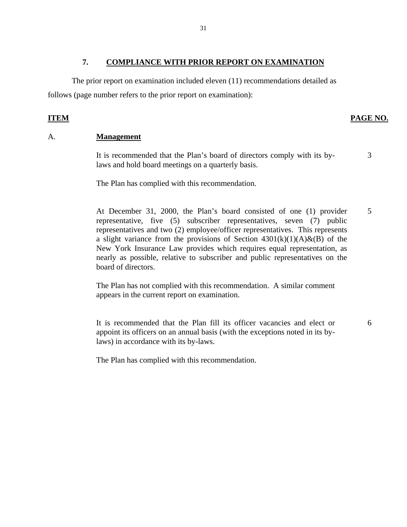## **7. COMPLIANCE WITH PRIOR REPORT ON EXAMINATION**

The prior report on examination included eleven (11) recommendations detailed as follows (page number refers to the prior report on examination):

## **ITEM PAGE NO.**

3

6

### A. **Management**

It is recommended that the Plan's board of directors comply with its bylaws and hold board meetings on a quarterly basis.

The Plan has complied with this recommendation.

At December 31, 2000, the Plan's board consisted of one (1) provider representative, five (5) subscriber representatives, seven (7) public representatives and two (2) employee/officer representatives. This represents a slight variance from the provisions of Section  $4301(k)(1)(A) \& (B)$  of the New York Insurance Law provides which requires equal representation, as nearly as possible, relative to subscriber and public representatives on the board of directors. 5

The Plan has not complied with this recommendation. A similar comment appears in the current report on examination.

It is recommended that the Plan fill its officer vacancies and elect or appoint its officers on an annual basis (with the exceptions noted in its bylaws) in accordance with its by-laws.

The Plan has complied with this recommendation.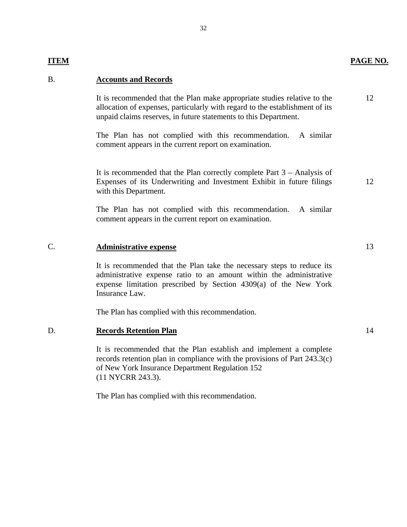12

## B. **Accounts and Records**

It is recommended that the Plan make appropriate studies relative to the allocation of expenses, particularly with regard to the establishment of its unpaid claims reserves, in future statements to this Department.

The Plan has not complied with this recommendation. A similar comment appears in the current report on examination.

It is recommended that the Plan correctly complete Part 3 – Analysis of Expenses of its Underwriting and Investment Exhibit in future filings with this Department.

The Plan has not complied with this recommendation. A similar comment appears in the current report on examination.

#### C. **Administrative expense**

It is recommended that the Plan take the necessary steps to reduce its administrative expense ratio to an amount within the administrative expense limitation prescribed by Section 4309(a) of the New York Insurance Law.

The Plan has complied with this recommendation.

#### D. **Records Retention Plan**

It is recommended that the Plan establish and implement a complete records retention plan in compliance with the provisions of Part 243.3(c) of New York Insurance Department Regulation 152 (11 NYCRR 243.3).

The Plan has complied with this recommendation.

13

12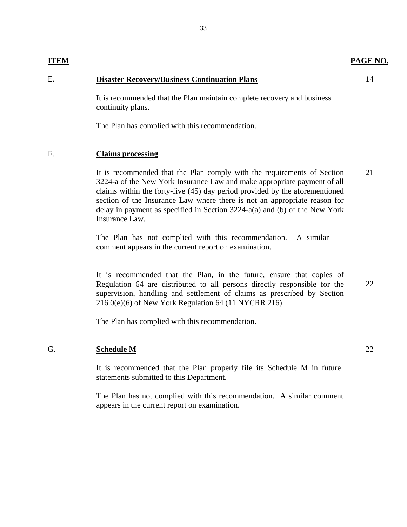#### **ITEM PAGE NO.**

## E. **Disaster Recovery/Business Continuation Plans**

It is recommended that the Plan maintain complete recovery and business continuity plans.

The Plan has complied with this recommendation.

## F. **Claims processing**

It is recommended that the Plan comply with the requirements of Section 3224-a of the New York Insurance Law and make appropriate payment of all claims within the forty-five (45) day period provided by the aforementioned section of the Insurance Law where there is not an appropriate reason for delay in payment as specified in Section 3224-a(a) and (b) of the New York Insurance Law. 21

The Plan has not complied with this recommendation. A similar comment appears in the current report on examination.

It is recommended that the Plan, in the future, ensure that copies of Regulation 64 are distributed to all persons directly responsible for the supervision, handling and settlement of claims as prescribed by Section 216.0(e)(6) of New York Regulation 64 (11 NYCRR 216).

The Plan has complied with this recommendation.

### G. **Schedule M**

It is recommended that the Plan properly file its Schedule M in future statements submitted to this Department.

The Plan has not complied with this recommendation. A similar comment appears in the current report on examination.

14

22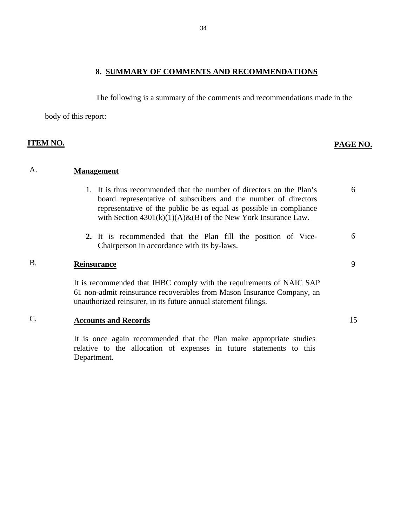**8. SUMMARY OF COMMENTS AND RECOMMENDATIONS**

The following is a summary of the comments and recommendations made in the

body of this report:

## **ITEM NO. PAGE NO.**

## A. **Management**

1. It is thus recommended that the number of directors on the Plan's board representative of subscribers and the number of directors representative of the public be as equal as possible in compliance with Section  $4301(k)(1)(A) & (B)$  of the New York Insurance Law. **2.** It is recommended that the Plan fill the position of Vice-Chairperson in accordance with its by-laws. 6 6

## B. **Reinsurance**

It is recommended that IHBC comply with the requirements of NAIC SAP 61 non-admit reinsurance recoverables from Mason Insurance Company, an unauthorized reinsurer, in its future annual statement filings.

## C. **Accounts and Records**

It is once again recommended that the Plan make appropriate studies relative to the allocation of expenses in future statements to this Department.

15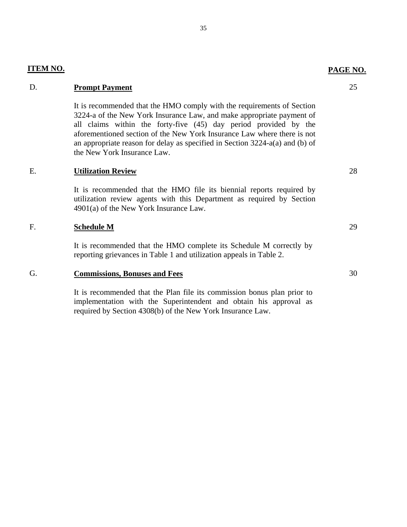### **ITEM NO.**

## D. **Prompt Payment**

It is recommended that the HMO comply with the requirements of Section 3224-a of the New York Insurance Law, and make appropriate payment of all claims within the forty-five (45) day period provided by the aforementioned section of the New York Insurance Law where there is not an appropriate reason for delay as specified in Section 3224-a(a) and (b) of the New York Insurance Law.

## E. **Utilization Review**

It is recommended that the HMO file its biennial reports required by utilization review agents with this Department as required by Section 4901(a) of the New York Insurance Law.

## F. **Schedule M**

It is recommended that the HMO complete its Schedule M correctly by reporting grievances in Table 1 and utilization appeals in Table 2.

## G. **Commissions, Bonuses and Fees**

It is recommended that the Plan file its commission bonus plan prior to implementation with the Superintendent and obtain his approval as required by Section 4308(b) of the New York Insurance Law.

#### **PAGE NO.**

25

28

29